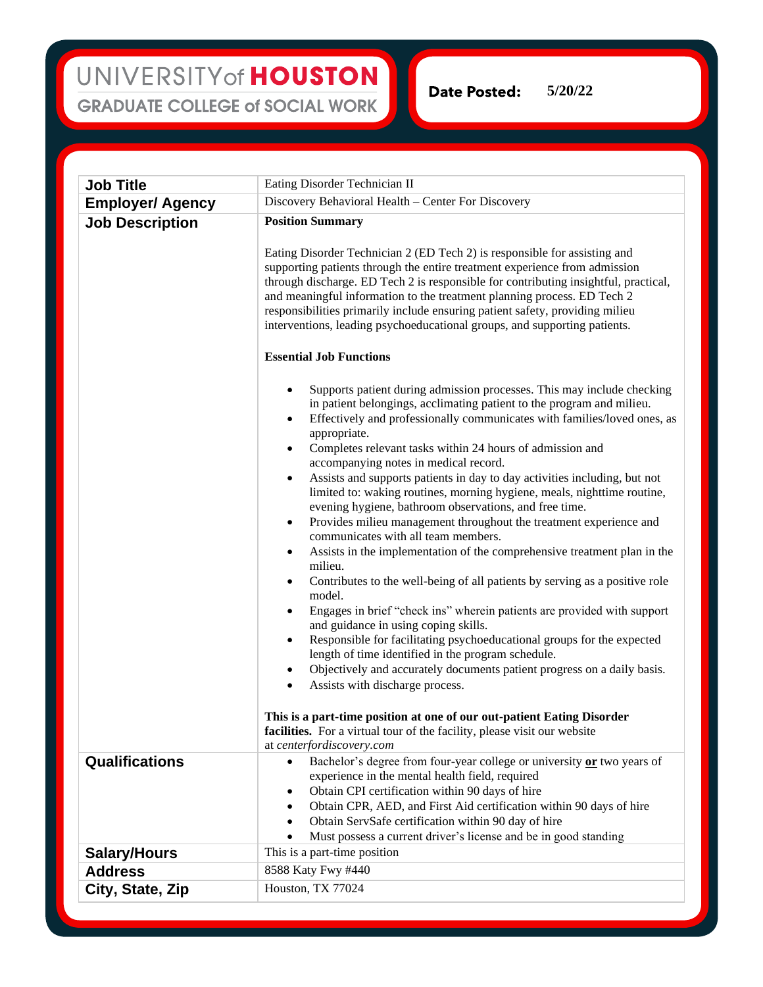**Date Posted: 5/20/22**

**Job Title** Eating Disorder Technician II **Employer/ Agency** Discovery Behavioral Health – Center For Discovery **Job Description Position Summary** Eating Disorder Technician 2 (ED Tech 2) is responsible for assisting and supporting patients through the entire treatment experience from admission through discharge. ED Tech 2 is responsible for contributing insightful, practical, and meaningful information to the treatment planning process. ED Tech 2 responsibilities primarily include ensuring patient safety, providing milieu interventions, leading psychoeducational groups, and supporting patients. **Essential Job Functions** Supports patient during admission processes. This may include checking in patient belongings, acclimating patient to the program and milieu. • Effectively and professionally communicates with families/loved ones, as appropriate. • Completes relevant tasks within 24 hours of admission and accompanying notes in medical record. • Assists and supports patients in day to day activities including, but not limited to: waking routines, morning hygiene, meals, nighttime routine, evening hygiene, bathroom observations, and free time. • Provides milieu management throughout the treatment experience and communicates with all team members. • Assists in the implementation of the comprehensive treatment plan in the milieu. • Contributes to the well-being of all patients by serving as a positive role model. • Engages in brief "check ins" wherein patients are provided with support and guidance in using coping skills. • Responsible for facilitating psychoeducational groups for the expected length of time identified in the program schedule. • Objectively and accurately documents patient progress on a daily basis. Assists with discharge process. **This is a part-time position at one of our out-patient Eating Disorder**  facilities. For a virtual tour of the facility, please visit our website at *[centerfordiscovery.com](https://centerfordiscovery.com/)* **Qualifications** • Bachelor's degree from four-year college or university or two years of experience in the mental health field, required • Obtain CPI certification within 90 days of hire • Obtain CPR, AED, and First Aid certification within 90 days of hire • Obtain ServSafe certification within 90 day of hire Must possess a current driver's license and be in good standing **Salary/Hours** This is a part-time position **Address** 8588 Katy Fwy #440 **City, State, Zip** Houston, TX 77024